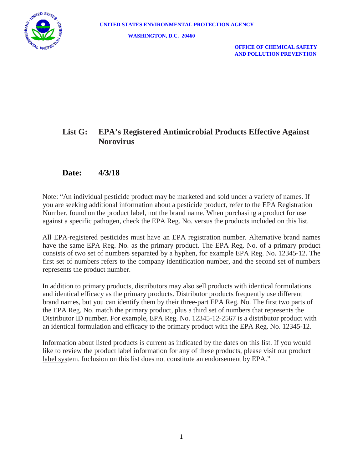

 **OFFICE OF CHEMICAL SAFETY AND POLLUTION PREVENTION**

## **List G: EPA's Registered Antimicrobial Products Effective Against Norovirus**

### **Date: 4/3/18**

Note: "An individual pesticide product may be marketed and sold under a variety of names. If you are seeking additional information about a pesticide product, refer to the EPA Registration Number, found on the product label, not the brand name. When purchasing a product for use against a specific pathogen, check the EPA Reg. No. versus the products included on this list.

All EPA-registered pesticides must have an EPA registration number. Alternative brand names have the same EPA Reg. No. as the primary product. The EPA Reg. No. of a primary product consists of two set of numbers separated by a hyphen, for example EPA Reg. No. 12345-12. The first set of numbers refers to the company identification number, and the second set of numbers represents the product number.

In addition to primary products, distributors may also sell products with identical formulations and identical efficacy as the primary products. Distributor products frequently use different brand names, but you can identify them by their three-part EPA Reg. No. The first two parts of the EPA Reg. No. match the primary product, plus a third set of numbers that represents the Distributor ID number. For example, EPA Reg. No. 12345-12-2567 is a distributor product with an identical formulation and efficacy to the primary product with the EPA Reg. No. 12345-12.

Information about listed products is current as indicated by the dates on this list. If you would like to review the product label information for any of these products, please visit our product label system. Inclusion on this list does not constitute an endorsement by EPA."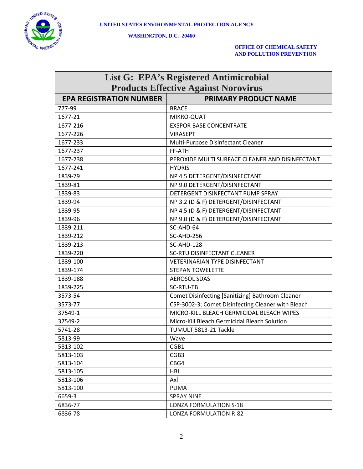

#### **OFFICE OF CHEMICAL SAFETY AND POLLUTION PREVENTION**

| <b>List G: EPA's Registered Antimicrobial</b> |                                                    |  |
|-----------------------------------------------|----------------------------------------------------|--|
| <b>Products Effective Against Norovirus</b>   |                                                    |  |
| <b>EPA REGISTRATION NUMBER</b>                | <b>PRIMARY PRODUCT NAME</b>                        |  |
| 777-99                                        | <b>BRACE</b>                                       |  |
| 1677-21                                       | MIKRO-QUAT                                         |  |
| 1677-216                                      | <b>EXSPOR BASE CONCENTRATE</b>                     |  |
| 1677-226                                      | <b>VIRASEPT</b>                                    |  |
| 1677-233                                      | Multi-Purpose Disinfectant Cleaner                 |  |
| 1677-237                                      | FF-ATH                                             |  |
| 1677-238                                      | PEROXIDE MULTI SURFACE CLEANER AND DISINFECTANT    |  |
| 1677-241                                      | <b>HYDRIS</b>                                      |  |
| 1839-79                                       | NP 4.5 DETERGENT/DISINFECTANT                      |  |
| 1839-81                                       | NP 9.0 DETERGENT/DISINFECTANT                      |  |
| 1839-83                                       | DETERGENT DISINFECTANT PUMP SPRAY                  |  |
| 1839-94                                       | NP 3.2 (D & F) DETERGENT/DISINFECTANT              |  |
| 1839-95                                       | NP 4.5 (D & F) DETERGENT/DISINFECTANT              |  |
| 1839-96                                       | NP 9.0 (D & F) DETERGENT/DISINFECTANT              |  |
| 1839-211                                      | SC-AHD-64                                          |  |
| 1839-212                                      | SC-AHD-256                                         |  |
| 1839-213                                      | SC-AHD-128                                         |  |
| 1839-220                                      | <b>SC-RTU DISINFECTANT CLEANER</b>                 |  |
| 1839-100                                      | VETERINARIAN TYPE DISINFECTANT                     |  |
| 1839-174                                      | <b>STEPAN TOWELETTE</b>                            |  |
| 1839-188                                      | <b>AEROSOL SDAS</b>                                |  |
| 1839-225                                      | SC-RTU-TB                                          |  |
| 3573-54                                       | Comet Disinfecting [Sanitizing] Bathroom Cleaner   |  |
| 3573-77                                       | CSP-3002-3; Comet Disinfecting Cleaner with Bleach |  |
| 37549-1                                       | MICRO-KILL BLEACH GERMICIDAL BLEACH WIPES          |  |
| 37549-2                                       | Micro-Kill Bleach Germicidal Bleach Solution       |  |
| 5741-28                                       | TUMULT 5813-21 Tackle                              |  |
| 5813-99                                       | Wave                                               |  |
| 5813-102                                      | CGB1                                               |  |
| 5813-103                                      | CGB3                                               |  |
| 5813-104                                      | CBG4                                               |  |
| 5813-105                                      | HBL                                                |  |
| 5813-106                                      | Axl                                                |  |
| 5813-100                                      | <b>PUMA</b>                                        |  |
| 6659-3                                        | <b>SPRAY NINE</b>                                  |  |
| 6836-77                                       | <b>LONZA FORMULATION S-18</b>                      |  |
| 6836-78                                       | <b>LONZA FORMULATION R-82</b>                      |  |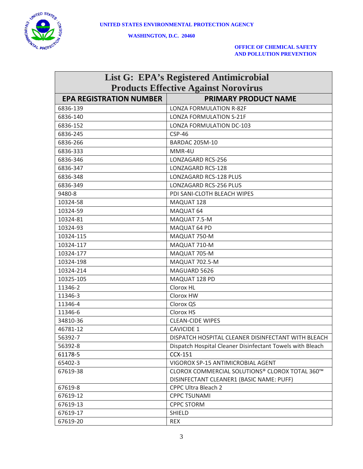

#### **OFFICE OF CHEMICAL SAFETY AND POLLUTION PREVENTION**

| <b>List G: EPA's Registered Antimicrobial</b> |                                                           |  |
|-----------------------------------------------|-----------------------------------------------------------|--|
| <b>Products Effective Against Norovirus</b>   |                                                           |  |
| <b>EPA REGISTRATION NUMBER</b>                | <b>PRIMARY PRODUCT NAME</b>                               |  |
| 6836-139                                      | LONZA FORMULATION R-82F                                   |  |
| 6836-140                                      | <b>LONZA FORMULATION S-21F</b>                            |  |
| 6836-152                                      | LONZA FORMULATION DC-103                                  |  |
| 6836-245                                      | $CSP-46$                                                  |  |
| 6836-266                                      | <b>BARDAC 205M-10</b>                                     |  |
| 6836-333                                      | MMR-4U                                                    |  |
| 6836-346                                      | LONZAGARD RCS-256                                         |  |
| 6836-347                                      | LONZAGARD RCS-128                                         |  |
| 6836-348                                      | LONZAGARD RCS-128 PLUS                                    |  |
| 6836-349                                      | LONZAGARD RCS-256 PLUS                                    |  |
| 9480-8                                        | PDI SANI-CLOTH BLEACH WIPES                               |  |
| 10324-58                                      | MAQUAT 128                                                |  |
| 10324-59                                      | MAQUAT 64                                                 |  |
| 10324-81                                      | MAQUAT 7.5-M                                              |  |
| 10324-93                                      | MAQUAT 64 PD                                              |  |
| 10324-115                                     | MAQUAT 750-M                                              |  |
| 10324-117                                     | MAQUAT 710-M                                              |  |
| 10324-177                                     | MAQUAT 705-M                                              |  |
| 10324-198                                     | MAQUAT 702.5-M                                            |  |
| 10324-214                                     | MAGUARD 5626                                              |  |
| 10325-105                                     | MAQUAT 128 PD                                             |  |
| 11346-2                                       | Clorox HL                                                 |  |
| 11346-3                                       | Clorox HW                                                 |  |
| 11346-4                                       | Clorox QS                                                 |  |
| 11346-6                                       | Clorox HS                                                 |  |
| 34810-36                                      | <b>CLEAN-CIDE WIPES</b>                                   |  |
| 46781-12                                      | <b>CAVICIDE 1</b>                                         |  |
| 56392-7                                       | DISPATCH HOSPITAL CLEANER DISINFECTANT WITH BLEACH        |  |
| 56392-8                                       | Dispatch Hospital Cleaner Disinfectant Towels with Bleach |  |
| 61178-5                                       | <b>CCX-151</b>                                            |  |
| 65402-3                                       | VIGOROX SP-15 ANTIMICROBIAL AGENT                         |  |
| 67619-38                                      | CLOROX COMMERCIAL SOLUTIONS® CLOROX TOTAL 360™            |  |
|                                               | DISINFECTANT CLEANER1 (BASIC NAME: PUFF)                  |  |
| 67619-8                                       | <b>CPPC Ultra Bleach 2</b>                                |  |
| 67619-12                                      | <b>CPPC TSUNAMI</b>                                       |  |
| 67619-13                                      | <b>CPPC STORM</b>                                         |  |
| 67619-17                                      | <b>SHIELD</b>                                             |  |
| 67619-20                                      | REX                                                       |  |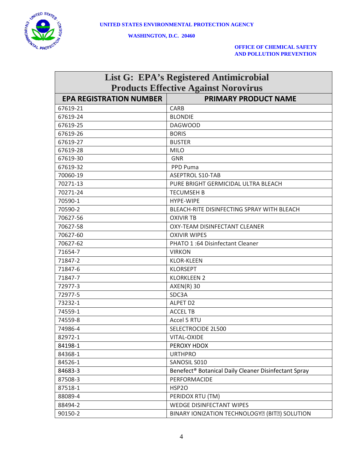

#### **OFFICE OF CHEMICAL SAFETY AND POLLUTION PREVENTION**

| <b>List G: EPA's Registered Antimicrobial</b> |                                                                            |  |
|-----------------------------------------------|----------------------------------------------------------------------------|--|
| <b>Products Effective Against Norovirus</b>   |                                                                            |  |
| <b>EPA REGISTRATION NUMBER</b>                | <b>PRIMARY PRODUCT NAME</b>                                                |  |
| 67619-21                                      | <b>CARB</b>                                                                |  |
| 67619-24                                      | <b>BLONDIE</b>                                                             |  |
| 67619-25                                      | <b>DAGWOOD</b>                                                             |  |
| 67619-26                                      | <b>BORIS</b>                                                               |  |
| 67619-27                                      | <b>BUSTER</b>                                                              |  |
| 67619-28                                      | <b>MILO</b>                                                                |  |
| 67619-30                                      | <b>GNR</b>                                                                 |  |
| 67619-32                                      | PPD Puma                                                                   |  |
| 70060-19                                      | <b>ASEPTROL S10-TAB</b>                                                    |  |
| 70271-13                                      | PURE BRIGHT GERMICIDAL ULTRA BLEACH                                        |  |
| 70271-24                                      | <b>TECUMSEH B</b>                                                          |  |
| 70590-1                                       | <b>HYPE-WIPE</b>                                                           |  |
| 70590-2                                       | BLEACH-RITE DISINFECTING SPRAY WITH BLEACH                                 |  |
| 70627-56                                      | <b>OXIVIR TB</b>                                                           |  |
| 70627-58                                      | OXY-TEAM DISINFECTANT CLEANER                                              |  |
| 70627-60                                      | <b>OXIVIR WIPES</b>                                                        |  |
| 70627-62                                      | PHATO 1:64 Disinfectant Cleaner                                            |  |
| 71654-7                                       | <b>VIRKON</b>                                                              |  |
| 71847-2                                       | <b>KLOR-KLEEN</b>                                                          |  |
| 71847-6                                       | <b>KLORSEPT</b>                                                            |  |
| 71847-7                                       | <b>KLORKLEEN 2</b>                                                         |  |
| 72977-3                                       | $AXEN(R)$ 30                                                               |  |
| 72977-5                                       | SDC3A                                                                      |  |
| 73232-1                                       | ALPET D2                                                                   |  |
| 74559-1                                       | <b>ACCEL TB</b>                                                            |  |
| 74559-8                                       | Accel 5 RTU                                                                |  |
| 74986-4                                       | SELECTROCIDE 2L500                                                         |  |
| 82972-1                                       | VITAL-OXIDE                                                                |  |
| 84198-1                                       | PEROXY HDOX                                                                |  |
| 84368-1                                       | <b>URTHPRO</b>                                                             |  |
| 84526-1                                       | SANOSIL S010                                                               |  |
| 84683-3                                       | Benefect <sup>®</sup> Botanical Daily Cleaner Disinfectant Spray           |  |
| 87508-3                                       | PERFORMACIDE                                                               |  |
| 87518-1                                       | <b>HSP20</b>                                                               |  |
| 88089-4                                       | PERIDOX RTU (TM)                                                           |  |
| 88494-2                                       | WEDGE DISINFECTANT WIPES                                                   |  |
| 90150-2                                       | BINARY IONIZATION TECHNOLOGY <sup>[2]</sup> (BIT <sup>[2]</sup> ) SOLUTION |  |